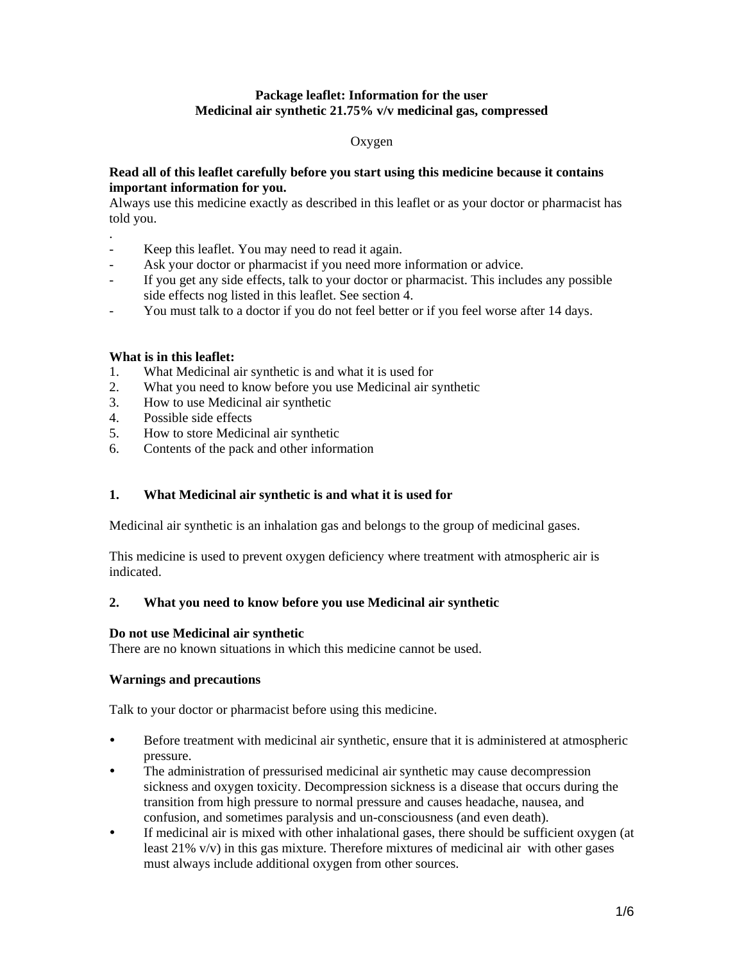# **Package leaflet: Information for the user Medicinal air synthetic 21.75% v/v medicinal gas, compressed**

#### Oxygen

#### **Read all of this leaflet carefully before you start using this medicine because it contains important information for you.**

Always use this medicine exactly as described in this leaflet or as your doctor or pharmacist has told you.

- . Keep this leaflet. You may need to read it again.
- Ask your doctor or pharmacist if you need more information or advice.
- If you get any side effects, talk to your doctor or pharmacist. This includes any possible side effects nog listed in this leaflet. See section 4.
- You must talk to a doctor if you do not feel better or if you feel worse after 14 days.

# **What is in this leaflet:**

- 1. What Medicinal air synthetic is and what it is used for
- 2. What you need to know before you use Medicinal air synthetic
- 3. How to use Medicinal air synthetic
- 4. Possible side effects
- 5. How to store Medicinal air synthetic
- 6. Contents of the pack and other information

# **1. What Medicinal air synthetic is and what it is used for**

Medicinal air synthetic is an inhalation gas and belongs to the group of medicinal gases.

This medicine is used to prevent oxygen deficiency where treatment with atmospheric air is indicated.

#### **2. What you need to know before you use Medicinal air synthetic**

#### **Do not use Medicinal air synthetic**

There are no known situations in which this medicine cannot be used.

#### **Warnings and precautions**

Talk to your doctor or pharmacist before using this medicine.

- Before treatment with medicinal air synthetic, ensure that it is administered at atmospheric pressure.
- The administration of pressurised medicinal air synthetic may cause decompression sickness and oxygen toxicity. Decompression sickness is a disease that occurs during the transition from high pressure to normal pressure and causes headache, nausea, and confusion, and sometimes paralysis and un-consciousness (and even death).
- If medicinal air is mixed with other inhalational gases, there should be sufficient oxygen (at least 21% v/v) in this gas mixture. Therefore mixtures of medicinal air with other gases must always include additional oxygen from other sources.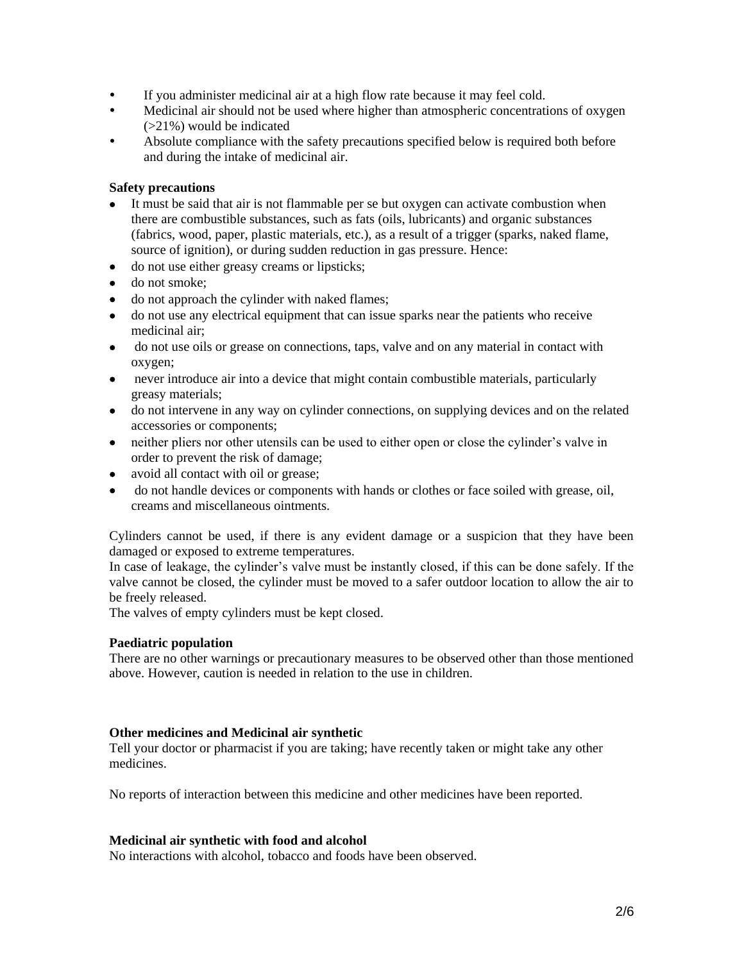- If you administer medicinal air at a high flow rate because it may feel cold.
- Medicinal air should not be used where higher than atmospheric concentrations of oxygen (>21%) would be indicated
- Absolute compliance with the safety precautions specified below is required both before and during the intake of medicinal air.

### **Safety precautions**

- It must be said that air is not flammable per se but oxygen can activate combustion when there are combustible substances, such as fats (oils, lubricants) and organic substances (fabrics, wood, paper, plastic materials, etc.), as a result of a trigger (sparks, naked flame, source of ignition), or during sudden reduction in gas pressure. Hence:
- do not use either greasy creams or lipsticks;
- do not smoke:
- do not approach the cylinder with naked flames;
- do not use any electrical equipment that can issue sparks near the patients who receive medicinal air;
- do not use oils or grease on connections, taps, valve and on any material in contact with oxygen;
- never introduce air into a device that might contain combustible materials, particularly greasy materials;
- do not intervene in any way on cylinder connections, on supplying devices and on the related accessories or components;
- neither pliers nor other utensils can be used to either open or close the cylinder's valve in order to prevent the risk of damage;
- avoid all contact with oil or grease;
- do not handle devices or components with hands or clothes or face soiled with grease, oil, creams and miscellaneous ointments.

Cylinders cannot be used, if there is any evident damage or a suspicion that they have been damaged or exposed to extreme temperatures.

In case of leakage, the cylinder's valve must be instantly closed, if this can be done safely. If the valve cannot be closed, the cylinder must be moved to a safer outdoor location to allow the air to be freely released.

The valves of empty cylinders must be kept closed.

#### **Paediatric population**

There are no other warnings or precautionary measures to be observed other than those mentioned above. However, caution is needed in relation to the use in children.

#### **Other medicines and Medicinal air synthetic**

Tell your doctor or pharmacist if you are taking; have recently taken or might take any other medicines.

No reports of interaction between this medicine and other medicines have been reported.

#### **Medicinal air synthetic with food and alcohol**

No interactions with alcohol, tobacco and foods have been observed.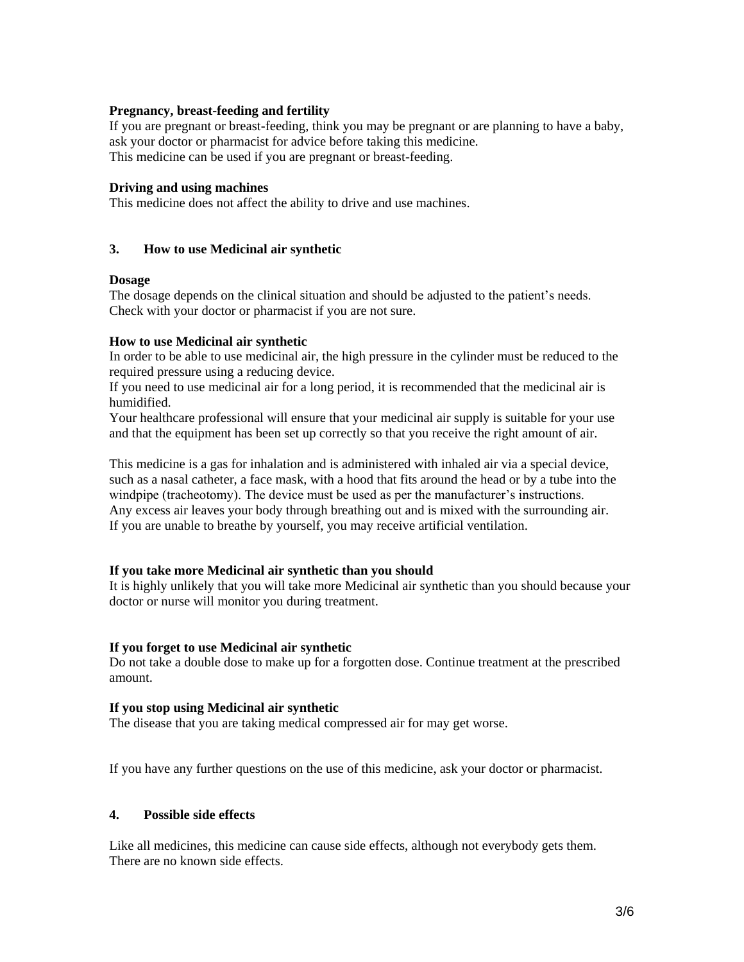#### **Pregnancy, breast-feeding and fertility**

If you are pregnant or breast-feeding, think you may be pregnant or are planning to have a baby, ask your doctor or pharmacist for advice before taking this medicine. This medicine can be used if you are pregnant or breast-feeding.

#### **Driving and using machines**

This medicine does not affect the ability to drive and use machines.

# **3. How to use Medicinal air synthetic**

#### **Dosage**

The dosage depends on the clinical situation and should be adjusted to the patient's needs. Check with your doctor or pharmacist if you are not sure.

# **How to use Medicinal air synthetic**

In order to be able to use medicinal air, the high pressure in the cylinder must be reduced to the required pressure using a reducing device.

If you need to use medicinal air for a long period, it is recommended that the medicinal air is humidified.

Your healthcare professional will ensure that your medicinal air supply is suitable for your use and that the equipment has been set up correctly so that you receive the right amount of air.

This medicine is a gas for inhalation and is administered with inhaled air via a special device, such as a nasal catheter, a face mask, with a hood that fits around the head or by a tube into the windpipe (tracheotomy). The device must be used as per the manufacturer's instructions. Any excess air leaves your body through breathing out and is mixed with the surrounding air. If you are unable to breathe by yourself, you may receive artificial ventilation.

#### **If you take more Medicinal air synthetic than you should**

It is highly unlikely that you will take more Medicinal air synthetic than you should because your doctor or nurse will monitor you during treatment.

#### **If you forget to use Medicinal air synthetic**

Do not take a double dose to make up for a forgotten dose. Continue treatment at the prescribed amount.

#### **If you stop using Medicinal air synthetic**

The disease that you are taking medical compressed air for may get worse.

If you have any further questions on the use of this medicine, ask your doctor or pharmacist.

# **4. Possible side effects**

Like all medicines, this medicine can cause side effects, although not everybody gets them. There are no known side effects.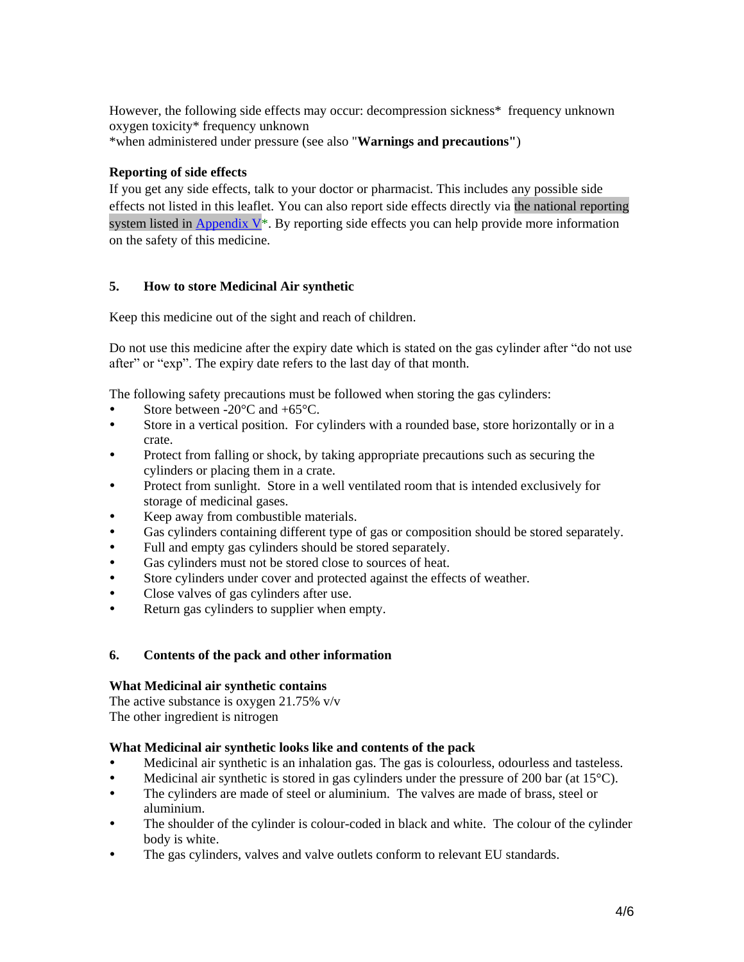However, the following side effects may occur: decompression sickness\* frequency unknown oxygen toxicity\* frequency unknown \*when administered under pressure (see also "**Warnings and precautions"**)

# **Reporting of side effects**

If you get any side effects, talk to your doctor or pharmacist. This includes any possible side effects not listed in this leaflet. You can also report side effects directly via the national reporting system listed in Appendix  $V^*$ . By reporting side effects you can help provide more information on the safety of this medicine.

# **5. How to store Medicinal Air synthetic**

Keep this medicine out of the sight and reach of children.

Do not use this medicine after the expiry date which is stated on the gas cylinder after "do not use after" or "exp". The expiry date refers to the last day of that month.

The following safety precautions must be followed when storing the gas cylinders:

- Store between -20°C and +65°C.
- Store in a vertical position. For cylinders with a rounded base, store horizontally or in a crate.
- Protect from falling or shock, by taking appropriate precautions such as securing the cylinders or placing them in a crate.
- Protect from sunlight. Store in a well ventilated room that is intended exclusively for storage of medicinal gases.
- Keep away from combustible materials.
- Gas cylinders containing different type of gas or composition should be stored separately.
- Full and empty gas cylinders should be stored separately.
- Gas cylinders must not be stored close to sources of heat.
- Store cylinders under cover and protected against the effects of weather.
- Close valves of gas cylinders after use.
- Return gas cylinders to supplier when empty.

#### **6. Contents of the pack and other information**

#### **What Medicinal air synthetic contains**

The active substance is oxygen 21.75% v/v The other ingredient is nitrogen

#### **What Medicinal air synthetic looks like and contents of the pack**

- Medicinal air synthetic is an inhalation gas. The gas is colourless, odourless and tasteless.
- Medicinal air synthetic is stored in gas cylinders under the pressure of 200 bar (at  $15^{\circ}$ C).
- The cylinders are made of steel or aluminium. The valves are made of brass, steel or aluminium.
- The shoulder of the cylinder is colour-coded in black and white. The colour of the cylinder body is white.
- The gas cylinders, valves and valve outlets conform to relevant EU standards.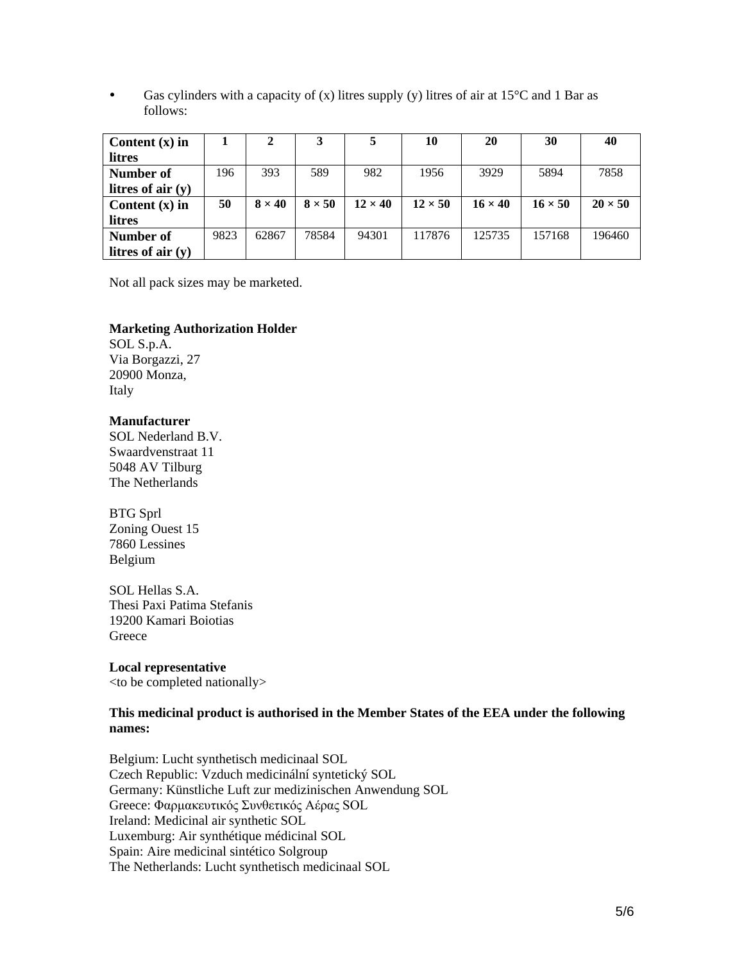Gas cylinders with a capacity of  $(x)$  litres supply  $(y)$  litres of air at 15<sup>o</sup>C and 1 Bar as follows:

| Content $(x)$ in    |      | 2             |               | ∍              | 10             | 20             | 30             | 40             |
|---------------------|------|---------------|---------------|----------------|----------------|----------------|----------------|----------------|
| litres              |      |               |               |                |                |                |                |                |
| Number of           | 196  | 393           | 589           | 982            | 1956           | 3929           | 5894           | 7858           |
| litres of air $(y)$ |      |               |               |                |                |                |                |                |
| Content $(x)$ in    | 50   | $8 \times 40$ | $8 \times 50$ | $12 \times 40$ | $12 \times 50$ | $16 \times 40$ | $16 \times 50$ | $20 \times 50$ |
| litres              |      |               |               |                |                |                |                |                |
| Number of           | 9823 | 62867         | 78584         | 94301          | 117876         | 125735         | 157168         | 196460         |
| litres of air $(y)$ |      |               |               |                |                |                |                |                |

Not all pack sizes may be marketed.

#### **Marketing Authorization Holder**

SOL S.p.A. Via Borgazzi, 27 20900 Monza, Italy

#### **Manufacturer**

SOL Nederland B.V. Swaardvenstraat 11 5048 AV Tilburg The Netherlands

# BTG Sprl

Zoning Ouest 15 7860 Lessines Belgium

#### SOL Hellas S.A.

Thesi Paxi Patima Stefanis 19200 Kamari Boiotias **Greece** 

# **Local representative**

<to be completed nationally>

#### **This medicinal product is authorised in the Member States of the EEA under the following names:**

Belgium: Lucht synthetisch medicinaal SOL Czech Republic: Vzduch medicinální syntetický SOL Germany: Künstliche Luft zur medizinischen Anwendung SOL Greece: Φαρμακευτικός Συνθετικός Αέρας SOL Ireland: Medicinal air synthetic SOL Luxemburg: Air synthétique médicinal SOL Spain: Aire medicinal sintético Solgroup The Netherlands: Lucht synthetisch medicinaal SOL